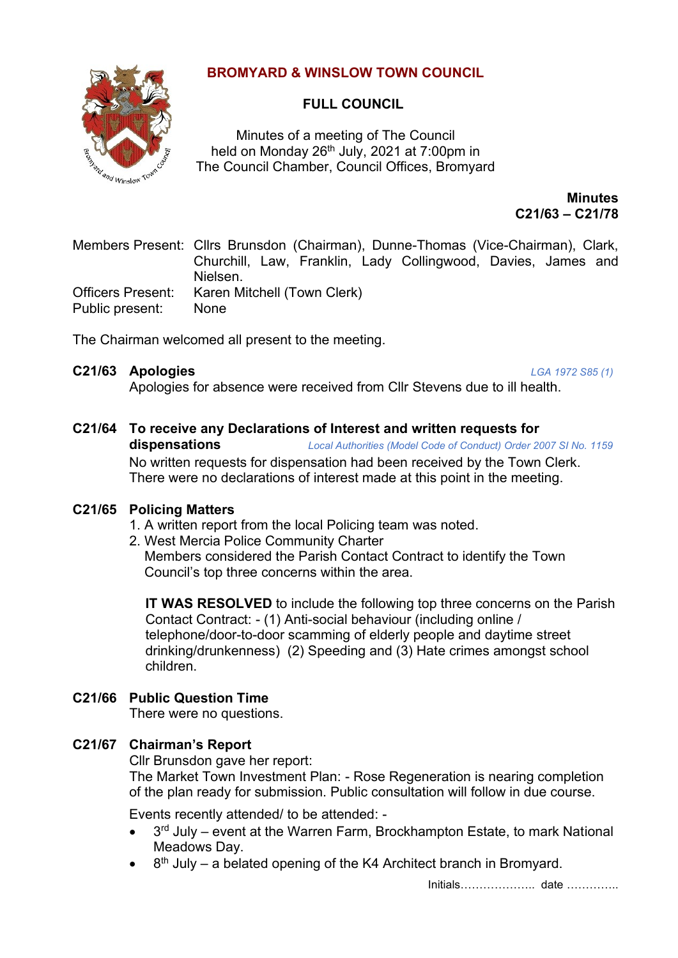### **BROMYARD & WINSLOW TOWN COUNCIL**



### **FULL COUNCIL**

Minutes of a meeting of The Council held on Monday  $26<sup>th</sup>$  July, 2021 at 7:00pm in The Council Chamber, Council Offices, Bromyard

> **Minutes C21/63 – C21/78**

Members Present: Cllrs Brunsdon (Chairman), Dunne-Thomas (Vice-Chairman), Clark, Churchill, Law, Franklin, Lady Collingwood, Davies, James and Nielsen. Officers Present: Karen Mitchell (Town Clerk) Public present: None

The Chairman welcomed all present to the meeting.

### **C21/63 Apologies** *LGA 1972 S85 (1)*

Apologies for absence were received from Cllr Stevens due to ill health.

#### **C21/64 To receive any Declarations of Interest and written requests for dispensations** *Local Authorities (Model Code of Conduct) Order 2007 SI No. 1159*

No written requests for dispensation had been received by the Town Clerk. There were no declarations of interest made at this point in the meeting.

### **C21/65 Policing Matters**

- 1. A written report from the local Policing team was noted.
- 2. West Mercia Police Community Charter

 Members considered the Parish Contact Contract to identify the Town Council's top three concerns within the area.

**IT WAS RESOLVED** to include the following top three concerns on the Parish Contact Contract: - (1) Anti-social behaviour (including online / telephone/door-to-door scamming of elderly people and daytime street drinking/drunkenness) (2) Speeding and (3) Hate crimes amongst school children.

### **C21/66 Public Question Time**

There were no questions.

### **C21/67 Chairman's Report**

Cllr Brunsdon gave her report:

The Market Town Investment Plan: - Rose Regeneration is nearing completion of the plan ready for submission. Public consultation will follow in due course.

Events recently attended/ to be attended: -

- 3<sup>rd</sup> July event at the Warren Farm, Brockhampton Estate, to mark National Meadows Day.
- $\bullet$  8<sup>th</sup> July a belated opening of the K4 Architect branch in Bromyard.

Initials……………….. date …………..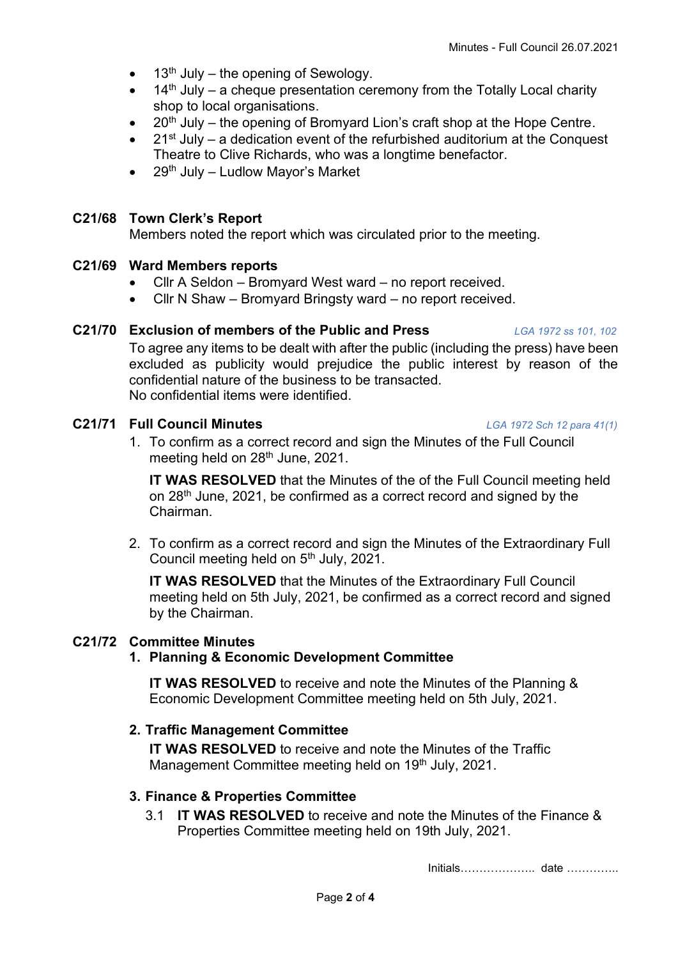- 13<sup>th</sup> July the opening of Sewology.
- $14<sup>th</sup>$  July a cheque presentation ceremony from the Totally Local charity shop to local organisations.
- $20<sup>th</sup>$  July the opening of Bromyard Lion's craft shop at the Hope Centre.
- $21<sup>st</sup>$  July a dedication event of the refurbished auditorium at the Conquest Theatre to Clive Richards, who was a longtime benefactor.
- $29<sup>th</sup>$  July Ludlow Mayor's Market

# **C21/68 Town Clerk's Report**

Members noted the report which was circulated prior to the meeting.

# **C21/69 Ward Members reports**

- Cllr A Seldon Bromyard West ward no report received.
- Cllr N Shaw Bromyard Bringsty ward no report received.

# **C21/70 Exclusion of members of the Public and Press** *LGA 1972 ss 101, 102*

To agree any items to be dealt with after the public (including the press) have been excluded as publicity would prejudice the public interest by reason of the confidential nature of the business to be transacted. No confidential items were identified.

# **C21/71 Full Council Minutes** *LGA 1972 Sch 12 para 41(1)*

1. To confirm as a correct record and sign the Minutes of the Full Council meeting held on 28<sup>th</sup> June, 2021.

**IT WAS RESOLVED** that the Minutes of the of the Full Council meeting held on 28<sup>th</sup> June, 2021, be confirmed as a correct record and signed by the Chairman.

2. To confirm as a correct record and sign the Minutes of the Extraordinary Full Council meeting held on 5<sup>th</sup> July, 2021.

**IT WAS RESOLVED** that the Minutes of the Extraordinary Full Council meeting held on 5th July, 2021, be confirmed as a correct record and signed by the Chairman.

# **C21/72 Committee Minutes**

# **1. Planning & Economic Development Committee**

**IT WAS RESOLVED** to receive and note the Minutes of the Planning & Economic Development Committee meeting held on 5th July, 2021.

# **2. Traffic Management Committee**

**IT WAS RESOLVED** to receive and note the Minutes of the Traffic Management Committee meeting held on 19<sup>th</sup> July, 2021.

# **3. Finance & Properties Committee**

3.1 **IT WAS RESOLVED** to receive and note the Minutes of the Finance & Properties Committee meeting held on 19th July, 2021.

Initials……………….. date …………..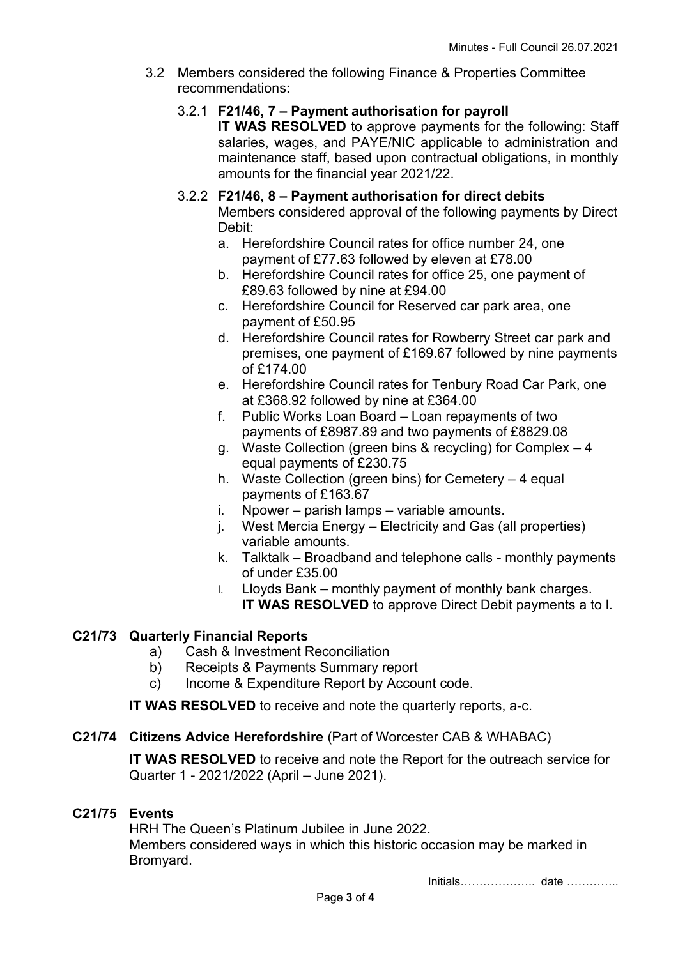- 3.2 Members considered the following Finance & Properties Committee recommendations:
	- 3.2.1 **F21/46, 7 – Payment authorisation for payroll**

**IT WAS RESOLVED** to approve payments for the following: Staff salaries, wages, and PAYE/NIC applicable to administration and maintenance staff, based upon contractual obligations, in monthly amounts for the financial year 2021/22.

### 3.2.2 **F21/46, 8 – Payment authorisation for direct debits**

Members considered approval of the following payments by Direct Debit:

- a. Herefordshire Council rates for office number 24, one payment of £77.63 followed by eleven at £78.00
- b. Herefordshire Council rates for office 25, one payment of £89.63 followed by nine at £94.00
- c. Herefordshire Council for Reserved car park area, one payment of £50.95
- d. Herefordshire Council rates for Rowberry Street car park and premises, one payment of £169.67 followed by nine payments of £174.00
- e. Herefordshire Council rates for Tenbury Road Car Park, one at £368.92 followed by nine at £364.00
- f. Public Works Loan Board Loan repayments of two payments of £8987.89 and two payments of £8829.08
- g. Waste Collection (green bins & recycling) for Complex 4 equal payments of £230.75
- h. Waste Collection (green bins) for Cemetery 4 equal payments of £163.67
- i. Npower parish lamps variable amounts.
- j. West Mercia Energy Electricity and Gas (all properties) variable amounts.
- k. Talktalk Broadband and telephone calls monthly payments of under £35.00
- l. Lloyds Bank monthly payment of monthly bank charges. **IT WAS RESOLVED** to approve Direct Debit payments a to I.

### **C21/73 Quarterly Financial Reports**

- a) Cash & Investment Reconciliation
- b) Receipts & Payments Summary report
- c) Income & Expenditure Report by Account code.

**IT WAS RESOLVED** to receive and note the quarterly reports, a-c.

### **C21/74 Citizens Advice Herefordshire** (Part of Worcester CAB & WHABAC)

**IT WAS RESOLVED** to receive and note the Report for the outreach service for Quarter 1 - 2021/2022 (April – June 2021).

### **C21/75 Events**

HRH The Queen's Platinum Jubilee in June 2022. Members considered ways in which this historic occasion may be marked in Bromyard.

Initials……………….. date …………..